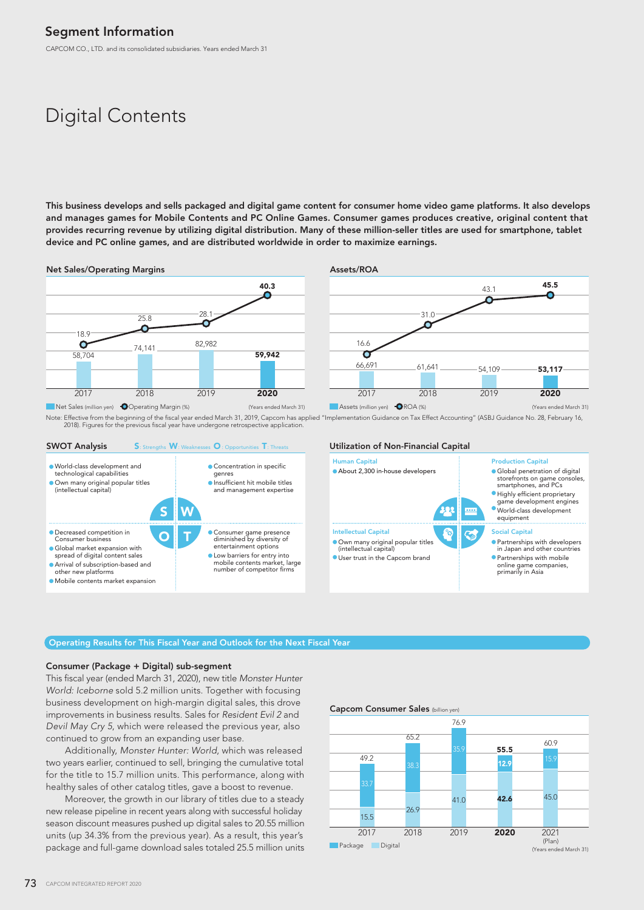CAPCOM CO., LTD. and its consolidated subsidiaries. Years ended March 31

# Digital Contents

This business develops and sells packaged and digital game content for consumer home video game platforms. It also develops and manages games for Mobile Contents and PC Online Games. Consumer games produces creative, original content that provides recurring revenue by utilizing digital distribution. Many of these million-seller titles are used for smartphone, tablet device and PC online games, and are distributed worldwide in order to maximize earnings.







#### Operating Results for This Fiscal Year and Outlook for the Next Fiscal Year

### Consumer (Package + Digital) sub-segment

This fiscal year (ended March 31, 2020), new title *Monster Hunter World: Iceborne* sold 5.2 million units. Together with focusing business development on high-margin digital sales, this drove improvements in business results. Sales for *Resident Evil 2* and *Devil May Cry 5*, which were released the previous year, also continued to grow from an expanding user base.

 Additionally, *Monster Hunter: World*, which was released two years earlier, continued to sell, bringing the cumulative total for the title to 15.7 million units. This performance, along with healthy sales of other catalog titles, gave a boost to revenue.

 Moreover, the growth in our library of titles due to a steady new release pipeline in recent years along with successful holiday season discount measures pushed up digital sales to 20.55 million units (up 34.3% from the previous year). As a result, this year's package and full-game download sales totaled 25.5 million units

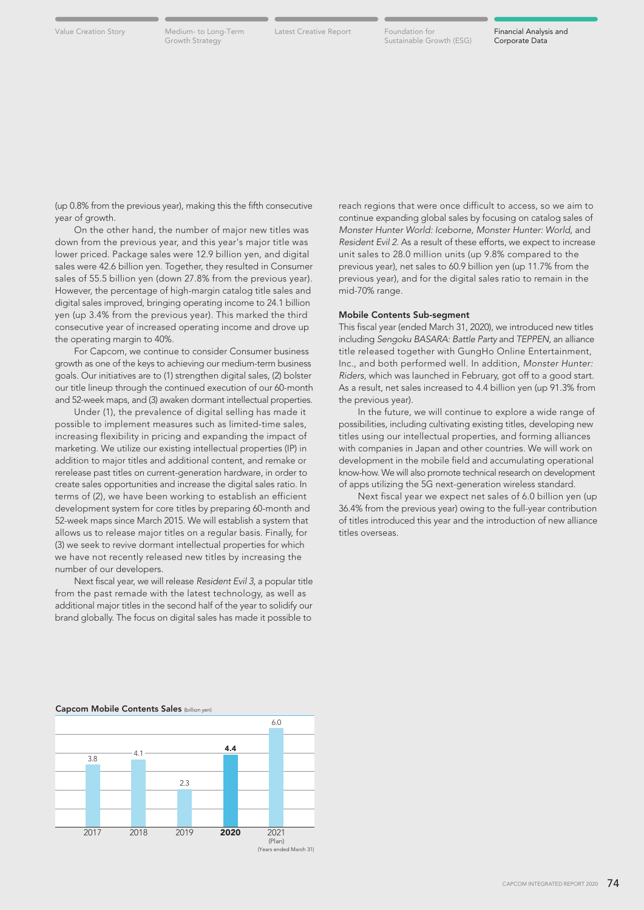Latest Creative Report Foundation for Financial Analysis and Sustainable Growth (ESG)

(up 0.8% from the previous year), making this the fifth consecutive year of growth.

 On the other hand, the number of major new titles was down from the previous year, and this year's major title was lower priced. Package sales were 12.9 billion yen, and digital sales were 42.6 billion yen. Together, they resulted in Consumer sales of 55.5 billion yen (down 27.8% from the previous year). However, the percentage of high-margin catalog title sales and digital sales improved, bringing operating income to 24.1 billion yen (up 3.4% from the previous year). This marked the third consecutive year of increased operating income and drove up the operating margin to 40%.

 For Capcom, we continue to consider Consumer business growth as one of the keys to achieving our medium-term business goals. Our initiatives are to (1) strengthen digital sales, (2) bolster our title lineup through the continued execution of our 60-month and 52-week maps, and (3) awaken dormant intellectual properties.

 Under (1), the prevalence of digital selling has made it possible to implement measures such as limited-time sales, increasing flexibility in pricing and expanding the impact of marketing. We utilize our existing intellectual properties (IP) in addition to major titles and additional content, and remake or rerelease past titles on current-generation hardware, in order to create sales opportunities and increase the digital sales ratio. In terms of (2), we have been working to establish an efficient development system for core titles by preparing 60-month and 52-week maps since March 2015. We will establish a system that allows us to release major titles on a regular basis. Finally, for (3) we seek to revive dormant intellectual properties for which we have not recently released new titles by increasing the number of our developers.

 Next fiscal year, we will release *Resident Evil 3*, a popular title from the past remade with the latest technology, as well as additional major titles in the second half of the year to solidify our brand globally. The focus on digital sales has made it possible to

reach regions that were once difficult to access, so we aim to continue expanding global sales by focusing on catalog sales of *Monster Hunter World: Iceborne*, *Monster Hunter: World*, and *Resident Evil 2*. As a result of these efforts, we expect to increase unit sales to 28.0 million units (up 9.8% compared to the previous year), net sales to 60.9 billion yen (up 11.7% from the previous year), and for the digital sales ratio to remain in the mid-70% range.

### Mobile Contents Sub-segment

This fiscal year (ended March 31, 2020), we introduced new titles including *Sengoku BASARA: Battle Party* and *TEPPEN*, an alliance title released together with GungHo Online Entertainment, Inc., and both performed well. In addition, *Monster Hunter: Riders*, which was launched in February, got off to a good start. As a result, net sales increased to 4.4 billion yen (up 91.3% from the previous year).

 In the future, we will continue to explore a wide range of possibilities, including cultivating existing titles, developing new titles using our intellectual properties, and forming alliances with companies in Japan and other countries. We will work on development in the mobile field and accumulating operational know-how. We will also promote technical research on development of apps utilizing the 5G next-generation wireless standard.

 Next fiscal year we expect net sales of 6.0 billion yen (up 36.4% from the previous year) owing to the full-year contribution of titles introduced this year and the introduction of new alliance titles overseas.

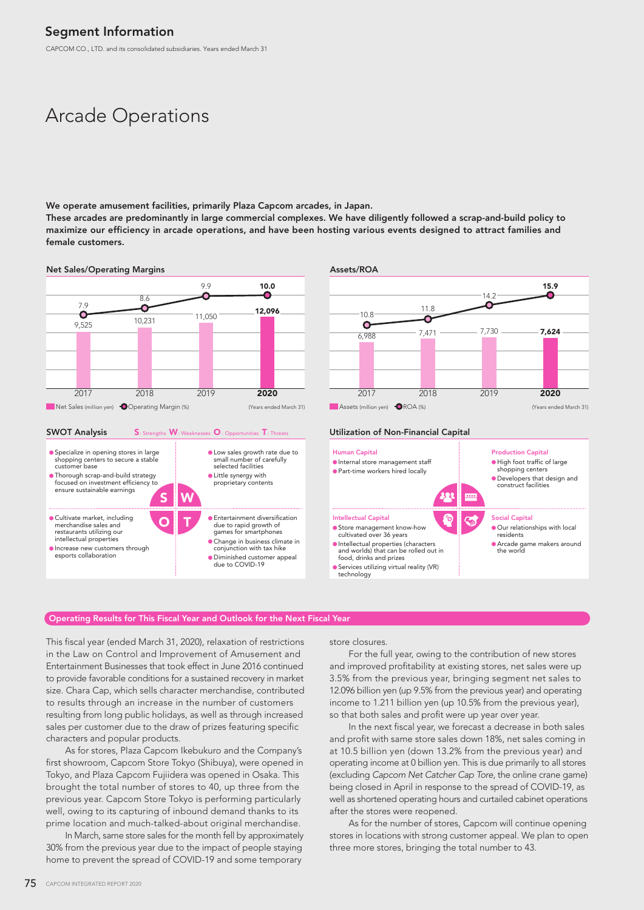CAPCOM CO., LTD. and its consolidated subsidiaries. Years ended March 31

# Arcade Operations

We operate amusement facilities, primarily Plaza Capcom arcades, in Japan.

These arcades are predominantly in large commercial complexes. We have diligently followed a scrap-and-build policy to maximize our efficiency in arcade operations, and have been hosting various events designed to attract families and female customers.



#### S: Strengths W: Weaknesses O : Opportunities T: Threats SWOT Analysis S: Strengths W: Weaknesses O: Opportunities T: Threats Utilization of Non-Financial Capital



#### 15.9  $14.2$ O Ω 11.8  $10.8$  $\overline{\mathcal{C}}$  $\bullet$ 7,730 7,624  $\frac{1}{6.988}$  7,471 2017 2018 2019  $2020$ Net Sales (million yen) **O**Operating Margin (%) (Years ended March 31) Assets (million yen) **O**ROA (%) (Years ended March 31)



### Operating Results for This Fiscal Year and Outlook for the Next Fiscal Year

This fiscal year (ended March 31, 2020), relaxation of restrictions in the Law on Control and Improvement of Amusement and Entertainment Businesses that took effect in June 2016 continued to provide favorable conditions for a sustained recovery in market size. Chara Cap, which sells character merchandise, contributed to results through an increase in the number of customers resulting from long public holidays, as well as through increased sales per customer due to the draw of prizes featuring specific characters and popular products.

 As for stores, Plaza Capcom Ikebukuro and the Company's first showroom, Capcom Store Tokyo (Shibuya), were opened in Tokyo, and Plaza Capcom Fujiidera was opened in Osaka. This brought the total number of stores to 40, up three from the previous year. Capcom Store Tokyo is performing particularly well, owing to its capturing of inbound demand thanks to its prime location and much-talked-about original merchandise.

 In March, same store sales for the month fell by approximately 30% from the previous year due to the impact of people staying home to prevent the spread of COVID-19 and some temporary

store closures.

 For the full year, owing to the contribution of new stores and improved profitability at existing stores, net sales were up 3.5% from the previous year, bringing segment net sales to 12.096 billion yen (up 9.5% from the previous year) and operating income to 1.211 billion yen (up 10.5% from the previous year), so that both sales and profit were up year over year.

 In the next fiscal year, we forecast a decrease in both sales and profit with same store sales down 18%, net sales coming in at 10.5 billion yen (down 13.2% from the previous year) and operating income at 0 billion yen. This is due primarily to all stores (excluding *Capcom Net Catcher Cap Tore*, the online crane game) being closed in April in response to the spread of COVID-19, as well as shortened operating hours and curtailed cabinet operations after the stores were reopened.

 As for the number of stores, Capcom will continue opening stores in locations with strong customer appeal. We plan to open three more stores, bringing the total number to 43.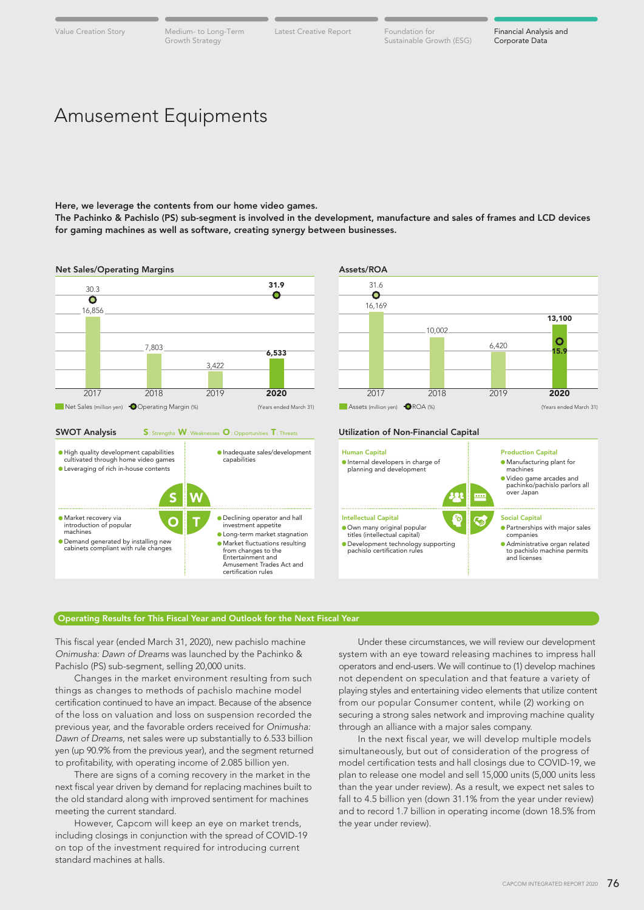Growth Strategy

Value Creation Story Medium- to Long-Term Latest Creative Report Foundation for

Latest Creative Report Foundation for Financial Analysis and Sustainable Growth (ESG)

## Amusement Equipments

Here, we leverage the contents from our home video games.

The Pachinko & Pachislo (PS) sub-segment is involved in the development, manufacture and sales of frames and LCD devices for gaming machines as well as software, creating synergy between businesses.



#### Operating Results for This Fiscal Year and Outlook for the Next Fiscal Year

This fiscal year (ended March 31, 2020), new pachislo machine *Onimusha: Dawn of Dreams* was launched by the Pachinko & Pachislo (PS) sub-segment, selling 20,000 units.

 Changes in the market environment resulting from such things as changes to methods of pachislo machine model certification continued to have an impact. Because of the absence of the loss on valuation and loss on suspension recorded the previous year, and the favorable orders received for *Onimusha: Dawn of Dreams*, net sales were up substantially to 6.533 billion yen (up 90.9% from the previous year), and the segment returned to profitability, with operating income of 2.085 billion yen.

 There are signs of a coming recovery in the market in the next fiscal year driven by demand for replacing machines built to the old standard along with improved sentiment for machines meeting the current standard.

 However, Capcom will keep an eye on market trends, including closings in conjunction with the spread of COVID-19 on top of the investment required for introducing current standard machines at halls.

 Under these circumstances, we will review our development system with an eye toward releasing machines to impress hall operators and end-users. We will continue to (1) develop machines not dependent on speculation and that feature a variety of playing styles and entertaining video elements that utilize content from our popular Consumer content, while (2) working on securing a strong sales network and improving machine quality through an alliance with a major sales company.

 In the next fiscal year, we will develop multiple models simultaneously, but out of consideration of the progress of model certification tests and hall closings due to COVID-19, we plan to release one model and sell 15,000 units (5,000 units less than the year under review). As a result, we expect net sales to fall to 4.5 billion yen (down 31.1% from the year under review) and to record 1.7 billion in operating income (down 18.5% from the year under review).